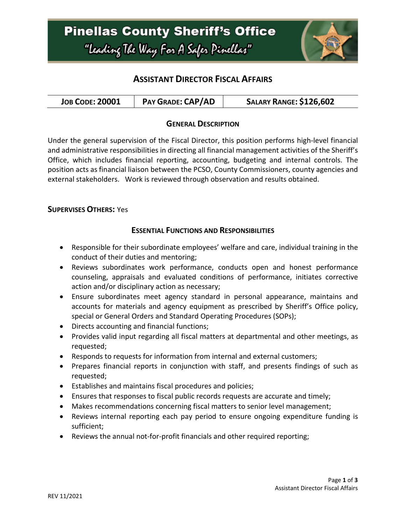

# **ASSISTANT DIRECTOR FISCAL AFFAIRS**

| <b>SALARY RANGE: \$126,602</b><br>PAY GRADE: CAP/AD<br><b>JOB CODE: 20001</b> |
|-------------------------------------------------------------------------------|
|-------------------------------------------------------------------------------|

### **GENERAL DESCRIPTION**

Under the general supervision of the Fiscal Director, this position performs high-level financial and administrative responsibilities in directing all financial management activities of the Sheriff's Office, which includes financial reporting, accounting, budgeting and internal controls. The position acts as financial liaison between the PCSO, County Commissioners, county agencies and external stakeholders. Work is reviewed through observation and results obtained.

### **SUPERVISES OTHERS:** Yes

## **ESSENTIAL FUNCTIONS AND RESPONSIBILITIES**

- Responsible for their subordinate employees' welfare and care, individual training in the conduct of their duties and mentoring;
- Reviews subordinates work performance, conducts open and honest performance counseling, appraisals and evaluated conditions of performance, initiates corrective action and/or disciplinary action as necessary;
- Ensure subordinates meet agency standard in personal appearance, maintains and accounts for materials and agency equipment as prescribed by Sheriff's Office policy, special or General Orders and Standard Operating Procedures (SOPs);
- Directs accounting and financial functions;
- Provides valid input regarding all fiscal matters at departmental and other meetings, as requested;
- Responds to requests for information from internal and external customers;
- Prepares financial reports in conjunction with staff, and presents findings of such as requested;
- Establishes and maintains fiscal procedures and policies;
- Ensures that responses to fiscal public records requests are accurate and timely;
- Makes recommendations concerning fiscal matters to senior level management;
- Reviews internal reporting each pay period to ensure ongoing expenditure funding is sufficient;
- Reviews the annual not-for-profit financials and other required reporting;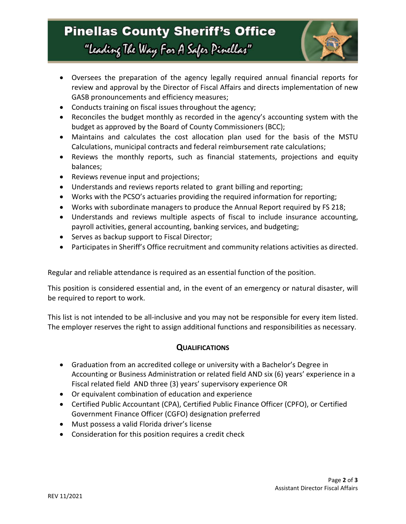# **Pinellas County Sheriff's Office** "Leading The Way For A Safer Pinellar"



- Oversees the preparation of the agency legally required annual financial reports for review and approval by the Director of Fiscal Affairs and directs implementation of new GASB pronouncements and efficiency measures;
- Conducts training on fiscal issues throughout the agency;
- Reconciles the budget monthly as recorded in the agency's accounting system with the budget as approved by the Board of County Commissioners (BCC);
- Maintains and calculates the cost allocation plan used for the basis of the MSTU Calculations, municipal contracts and federal reimbursement rate calculations;
- Reviews the monthly reports, such as financial statements, projections and equity balances;
- Reviews revenue input and projections;
- Understands and reviews reports related to grant billing and reporting;
- Works with the PCSO's actuaries providing the required information for reporting;
- Works with subordinate managers to produce the Annual Report required by FS 218;
- Understands and reviews multiple aspects of fiscal to include insurance accounting, payroll activities, general accounting, banking services, and budgeting;
- Serves as backup support to Fiscal Director;
- Participates in Sheriff's Office recruitment and community relations activities as directed.

Regular and reliable attendance is required as an essential function of the position.

This position is considered essential and, in the event of an emergency or natural disaster, will be required to report to work.

This list is not intended to be all-inclusive and you may not be responsible for every item listed. The employer reserves the right to assign additional functions and responsibilities as necessary.

### **QUALIFICATIONS**

- Graduation from an accredited college or university with a Bachelor's Degree in Accounting or Business Administration or related field AND six (6) years' experience in a Fiscal related field AND three (3) years' supervisory experience OR
- Or equivalent combination of education and experience
- Certified Public Accountant (CPA), Certified Public Finance Officer (CPFO), or Certified Government Finance Officer (CGFO) designation preferred
- Must possess a valid Florida driver's license
- Consideration for this position requires a credit check